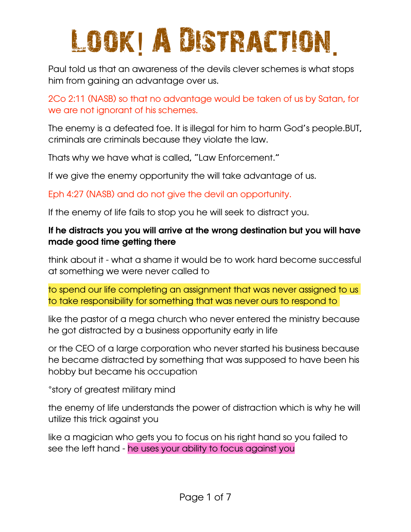# Look! A Distraction.

Paul told us that an awareness of the devils clever schemes is what stops him from gaining an advantage over us.

2Co 2:11 (NASB) so that no advantage would be taken of us by Satan, for we are not ignorant of his schemes.

The enemy is a defeated foe. It is illegal for him to harm God's people.BUT, criminals are criminals because they violate the law.

Thats why we have what is called, "Law Enforcement."

If we give the enemy opportunity the will take advantage of us.

Eph 4:27 (NASB) and do not give the devil an opportunity.

If the enemy of life fails to stop you he will seek to distract you.

#### If he distracts you you will arrive at the wrong destination but you will have made good time getting there

think about it - what a shame it would be to work hard become successful at something we were never called to

to spend our life completing an assignment that was never assigned to us to take responsibility for something that was never ours to respond to

like the pastor of a mega church who never entered the ministry because he got distracted by a business opportunity early in life

or the CEO of a large corporation who never started his business because he became distracted by something that was supposed to have been his hobby but became his occupation

\*story of greatest military mind

the enemy of life understands the power of distraction which is why he will utilize this trick against you

like a magician who gets you to focus on his right hand so you failed to see the left hand - he uses your ability to focus against you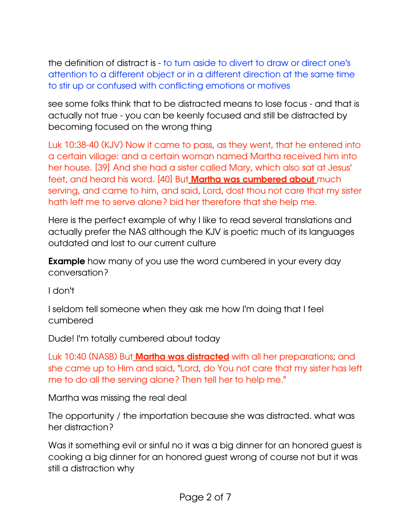the definition of distract is - to turn aside to divert to draw or direct one's attention to a different object or in a different direction at the same time to stir up or confused with conflicting emotions or motives

see some folks think that to be distracted means to lose focus - and that is actually not true - you can be keenly focused and still be distracted by becoming focused on the wrong thing

Luk 10:38-40 (KJV) Now it came to pass, as they went, that he entered into a certain village: and a certain woman named Martha received him into her house. [39] And she had a sister called Mary, which also sat at Jesus' feet, and heard his word. [40] But **Martha was cumbered about** much serving, and came to him, and said, Lord, dost thou not care that my sister hath left me to serve alone? bid her therefore that she help me.

Here is the perfect example of why I like to read several translations and actually prefer the NAS although the KJV is poetic much of its languages outdated and lost to our current culture

**Example** how many of you use the word cumbered in your every day conversation?

I don't

I seldom tell someone when they ask me how I'm doing that I feel cumbered

Dude! I'm totally cumbered about today

Luk 10:40 (NASB) But **Martha was distracted** with all her preparations; and she came up to Him and said, "Lord, do You not care that my sister has left me to do all the serving alone? Then tell her to help me."

Martha was missing the real deal

The opportunity / the importation because she was distracted. what was her distraction?

Was it something evil or sinful no it was a big dinner for an honored guest is cooking a big dinner for an honored guest wrong of course not but it was still a distraction why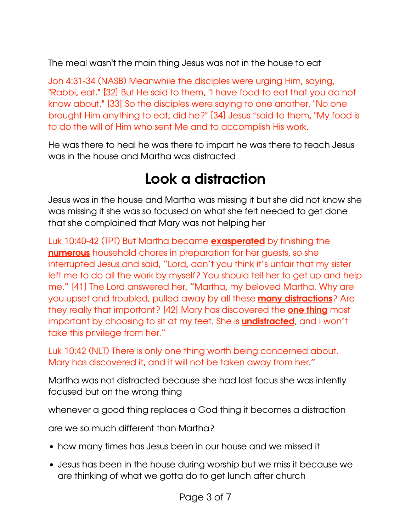The meal wasn't the main thing Jesus was not in the house to eat

Joh 4:31-34 (NASB) Meanwhile the disciples were urging Him, saying, "Rabbi, eat." [32] But He said to them, "I have food to eat that you do not know about." [33] So the disciples were saying to one another, "No one brought Him anything to eat, did he?" [34] Jesus \*said to them, "My food is to do the will of Him who sent Me and to accomplish His work.

He was there to heal he was there to impart he was there to teach Jesus was in the house and Martha was distracted

# Look a distraction

Jesus was in the house and Martha was missing it but she did not know she was missing it she was so focused on what she felt needed to get done that she complained that Mary was not helping her

Luk 10:40-42 (TPT) But Martha became **exasperated** by finishing the numerous household chores in preparation for her guests, so she interrupted Jesus and said, "Lord, don't you think it's unfair that my sister left me to do all the work by myself? You should tell her to get up and help me." [41] The Lord answered her, "Martha, my beloved Martha. Why are you upset and troubled, pulled away by all these **many distractions**? Are they really that important? [42] Mary has discovered the **one thing** most important by choosing to sit at my feet. She is **undistracted**, and I won't take this privilege from her."

Luk 10:42 (NLT) There is only one thing worth being concerned about. Mary has discovered it, and it will not be taken away from her."

Martha was not distracted because she had lost focus she was intently focused but on the wrong thing

whenever a good thing replaces a God thing it becomes a distraction

are we so much different than Martha?

- how many times has Jesus been in our house and we missed it
- Jesus has been in the house during worship but we miss it because we are thinking of what we gotta do to get lunch after church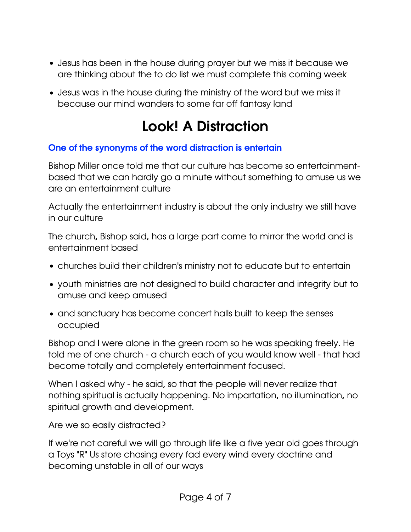- Jesus has been in the house during prayer but we miss it because we are thinking about the to do list we must complete this coming week
- Jesus was in the house during the ministry of the word but we miss it because our mind wanders to some far off fantasy land

### Look! A Distraction

#### One of the synonyms of the word distraction is entertain

Bishop Miller once told me that our culture has become so entertainmentbased that we can hardly go a minute without something to amuse us we are an entertainment culture

Actually the entertainment industry is about the only industry we still have in our culture

The church, Bishop said, has a large part come to mirror the world and is entertainment based

- churches build their children's ministry not to educate but to entertain
- youth ministries are not designed to build character and integrity but to amuse and keep amused
- and sanctuary has become concert halls built to keep the senses occupied

Bishop and I were alone in the green room so he was speaking freely. He told me of one church - a church each of you would know well - that had become totally and completely entertainment focused.

When I asked why - he said, so that the people will never realize that nothing spiritual is actually happening. No impartation, no illumination, no spiritual growth and development.

Are we so easily distracted?

If we're not careful we will go through life like a five year old goes through a Toys "R" Us store chasing every fad every wind every doctrine and becoming unstable in all of our ways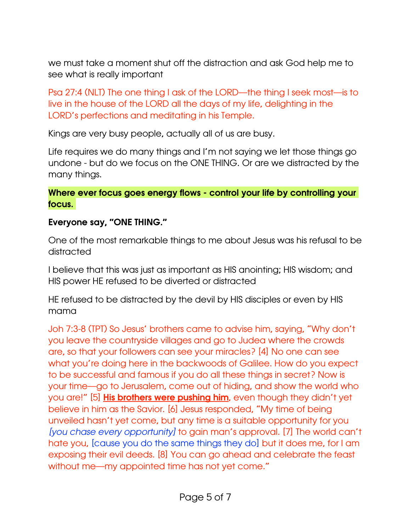we must take a moment shut off the distraction and ask God help me to see what is really important

Psa 27:4 (NLT) The one thing I ask of the LORD—the thing I seek most—is to live in the house of the LORD all the days of my life, delighting in the LORD's perfections and meditating in his Temple.

Kings are very busy people, actually all of us are busy.

Life requires we do many things and I'm not saying we let those things go undone - but do we focus on the ONE THING. Or are we distracted by the many things.

#### Where ever focus goes energy flows - control your life by controlling your focus.

#### Everyone say, "ONE THING."

One of the most remarkable things to me about Jesus was his refusal to be distracted

I believe that this was just as important as HIS anointing; HIS wisdom; and HIS power HE refused to be diverted or distracted

HE refused to be distracted by the devil by HIS disciples or even by HIS mama

Joh 7:3-8 (TPT) So Jesus' brothers came to advise him, saying, "Why don't you leave the countryside villages and go to Judea where the crowds are, so that your followers can see your miracles? [4] No one can see what you're doing here in the backwoods of Galilee. How do you expect to be successful and famous if you do all these things in secret? Now is your time—go to Jerusalem, come out of hiding, and show the world who you are!" [5] His brothers were pushing him, even though they didn't yet believe in him as the Savior. [6] Jesus responded, "My time of being unveiled hasn't yet come, but any time is a suitable opportunity for you *[you chase every opportunity]* to gain man's approval. [7] The world can't hate you, [cause you do the same things they do] but it does me, for I am exposing their evil deeds. [8] You can go ahead and celebrate the feast without me—my appointed time has not yet come."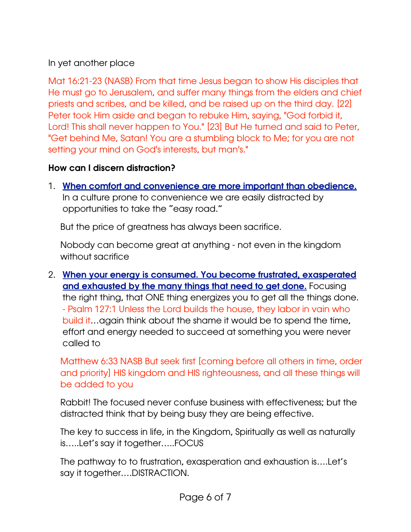#### In yet another place

Mat 16:21-23 (NASB) From that time Jesus began to show His disciples that He must go to Jerusalem, and suffer many things from the elders and chief priests and scribes, and be killed, and be raised up on the third day. [22] Peter took Him aside and began to rebuke Him, saying, "God forbid it, Lord! This shall never happen to You." [23] But He turned and said to Peter, "Get behind Me, Satan! You are a stumbling block to Me; for you are not setting your mind on God's interests, but man's."

#### How can I discern distraction?

1. When comfort and convenience are more important than obedience. In a culture prone to convenience we are easily distracted by opportunities to take the "easy road."

But the price of greatness has always been sacrifice.

Nobody can become great at anything - not even in the kingdom without sacrifice

2. When your energy is consumed. You become frustrated, exasperated and exhausted by the many things that need to get done. Focusing the right thing, that ONE thing energizes you to get all the things done. - Psalm 127:1 Unless the Lord builds the house, they labor in vain who build it…again think about the shame it would be to spend the time, effort and energy needed to succeed at something you were never called to

Matthew 6:33 NASB But seek first [coming before all others in time, order and priority] HIS kingdom and HIS righteousness, and all these things will be added to you

Rabbit! The focused never confuse business with effectiveness; but the distracted think that by being busy they are being effective.

The key to success in life, in the Kingdom, Spiritually as well as naturally is…..Let's say it together…..FOCUS

The pathway to to frustration, exasperation and exhaustion is….Let's say it together….DISTRACTION.